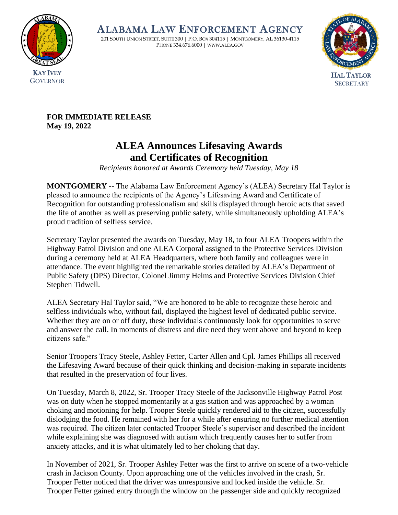

ALABAMA LAW ENFORCEMENT AGENCY

201 SOUTH UNION STREET, SUITE 300 | P.O. BOX 304115 | MONTGOMERY, AL 36130-4115 PHONE 334.676.6000 | WWW.ALEA.GOV



**FOR IMMEDIATE RELEASE May 19, 2022**

## **ALEA Announces Lifesaving Awards and Certificates of Recognition**

*Recipients honored at Awards Ceremony held Tuesday, May 18*

**MONTGOMERY** -- The Alabama Law Enforcement Agency's (ALEA) Secretary Hal Taylor is pleased to announce the recipients of the Agency's Lifesaving Award and Certificate of Recognition for outstanding professionalism and skills displayed through heroic acts that saved the life of another as well as preserving public safety, while simultaneously upholding ALEA's proud tradition of selfless service.

Secretary Taylor presented the awards on Tuesday, May 18, to four ALEA Troopers within the Highway Patrol Division and one ALEA Corporal assigned to the Protective Services Division during a ceremony held at ALEA Headquarters, where both family and colleagues were in attendance. The event highlighted the remarkable stories detailed by ALEA's Department of Public Safety (DPS) Director, Colonel Jimmy Helms and Protective Services Division Chief Stephen Tidwell.

ALEA Secretary Hal Taylor said, "We are honored to be able to recognize these heroic and selfless individuals who, without fail, displayed the highest level of dedicated public service. Whether they are on or off duty, these individuals continuously look for opportunities to serve and answer the call. In moments of distress and dire need they went above and beyond to keep citizens safe."

Senior Troopers Tracy Steele, Ashley Fetter, Carter Allen and Cpl. James Phillips all received the Lifesaving Award because of their quick thinking and decision-making in separate incidents that resulted in the preservation of four lives.

On Tuesday, March 8, 2022, Sr. Trooper Tracy Steele of the Jacksonville Highway Patrol Post was on duty when he stopped momentarily at a gas station and was approached by a woman choking and motioning for help. Trooper Steele quickly rendered aid to the citizen, successfully dislodging the food. He remained with her for a while after ensuring no further medical attention was required. The citizen later contacted Trooper Steele's supervisor and described the incident while explaining she was diagnosed with autism which frequently causes her to suffer from anxiety attacks, and it is what ultimately led to her choking that day.

In November of 2021, Sr. Trooper Ashley Fetter was the first to arrive on scene of a two-vehicle crash in Jackson County. Upon approaching one of the vehicles involved in the crash, Sr. Trooper Fetter noticed that the driver was unresponsive and locked inside the vehicle. Sr. Trooper Fetter gained entry through the window on the passenger side and quickly recognized